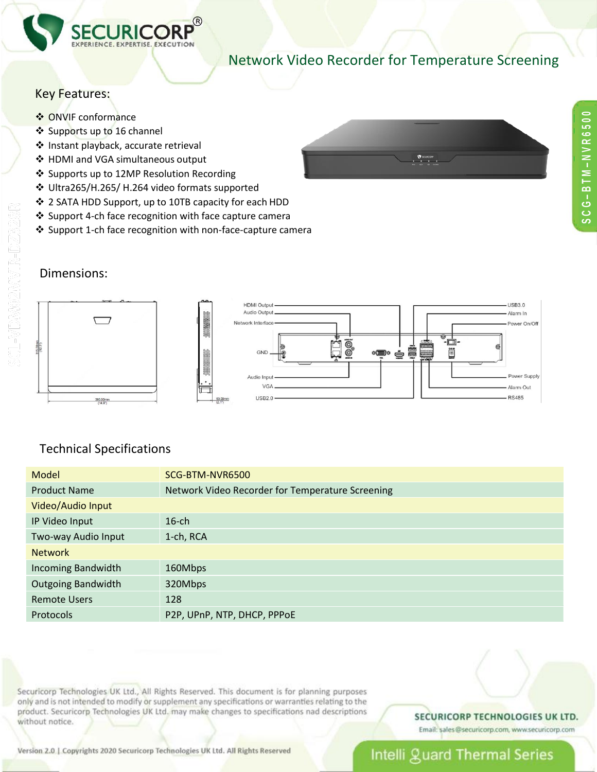

## Network Video Recorder for Temperature Screening

 $\mathbf{r}$ 

## Key Features:

- ❖ ONVIF conformance
- ❖ Supports up to 16 channel
- ❖ Instant playback, accurate retrieval
- ❖ HDMI and VGA simultaneous output
- ❖ Supports up to 12MP Resolution Recording
- Ultra265/H.265/ H.264 video formats supported
- 2 SATA HDD Support, up to 10TB capacity for each HDD
- $\cdot$  Support 4-ch face recognition with face capture camera
- ❖ Support 1-ch face recognition with non-face-capture camera

### Dimensions:



### Technical Specifications

| Model                     | SCG-BTM-NVR6500                                  |  |
|---------------------------|--------------------------------------------------|--|
| <b>Product Name</b>       | Network Video Recorder for Temperature Screening |  |
| Video/Audio Input         |                                                  |  |
| IP Video Input            | $16$ -ch                                         |  |
| Two-way Audio Input       | 1-ch, RCA                                        |  |
| <b>Network</b>            |                                                  |  |
| <b>Incoming Bandwidth</b> | 160Mbps                                          |  |
| <b>Outgoing Bandwidth</b> | 320Mbps                                          |  |
| <b>Remote Users</b>       | 128                                              |  |
| Protocols                 | P2P, UPnP, NTP, DHCP, PPPoE                      |  |

Securicorp Technologies UK Ltd., All Rights Reserved. This document is for planning purposes only and is not intended to modify or supplement any specifications or warranties relating to the product. Securicorp Technologies UK Ltd. may make changes to specifications nad descriptions without notice.

#### SECURICORP TECHNOLOGIES UK LTD.

Email: sales@securicorp.com, www.securicorp.com

Version 2.0 | Copyrights 2020 Securicorp Technologies UK Ltd. All Rights Reserved

# Intelli guard Thermal Series